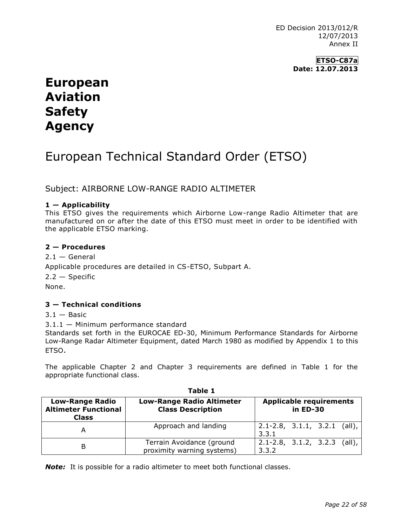ED Decision 2013/012/R 12/07/2013 Annex II

> **ETSO-C87a Date: 12.07.2013**

## **European Aviation Safety Agency**

# European Technical Standard Order (ETSO)

Subject: AIRBORNE LOW-RANGE RADIO ALTIMETER

## **1 — Applicability**

This ETSO gives the requirements which Airborne Low-range Radio Altimeter that are manufactured on or after the date of this ETSO must meet in order to be identified with the applicable ETSO marking.

#### **2 — Procedures**

 $2.1 -$  General Applicable procedures are detailed in CS-ETSO, Subpart A. 2.2 — Specific None.

## **3 — Technical conditions**

 $3.1 -$ Basic

3.1.1 — Minimum performance standard

Standards set forth in the EUROCAE ED-30, Minimum Performance Standards for Airborne Low-Range Radar Altimeter Equipment, dated March 1980 as modified by Appendix 1 to this ETSO.

The applicable Chapter 2 and Chapter 3 requirements are defined in Table 1 for the appropriate functional class.

| .                                                                     |                                                              |                                                 |  |
|-----------------------------------------------------------------------|--------------------------------------------------------------|-------------------------------------------------|--|
| <b>Low-Range Radio</b><br><b>Altimeter Functional</b><br><b>Class</b> | <b>Low-Range Radio Altimeter</b><br><b>Class Description</b> | <b>Applicable requirements</b><br>in ED-30      |  |
|                                                                       | Approach and landing                                         | $2.1 - 2.8$ , $3.1.1$ , $3.2.1$ (all),<br>3.3.1 |  |
|                                                                       | Terrain Avoidance (ground<br>proximity warning systems)      | $2.1 - 2.8$ , $3.1.2$ , $3.2.3$ (all),<br>3.3.2 |  |

**Table 1**

*Note:* It is possible for a radio altimeter to meet both functional classes.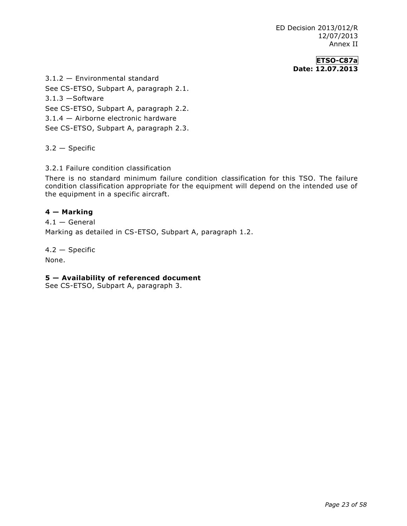ED Decision 2013/012/R 12/07/2013 Annex II

> **ETSO-C87a Date: 12.07.2013**

3.1.2 — Environmental standard See CS-ETSO, Subpart A, paragraph 2.1. 3.1.3 —Software See CS-ETSO, Subpart A, paragraph 2.2. 3.1.4 — Airborne electronic hardware See CS-ETSO, Subpart A, paragraph 2.3.

3.2 — Specific

3.2.1 Failure condition classification

There is no standard minimum failure condition classification for this TSO. The failure condition classification appropriate for the equipment will depend on the intended use of the equipment in a specific aircraft.

## **4 — Marking**

4.1 — General Marking as detailed in CS-ETSO, Subpart A, paragraph 1.2.

4.2 — Specific None.

## **5 — Availability of referenced document**

See CS-ETSO, Subpart A, paragraph 3.